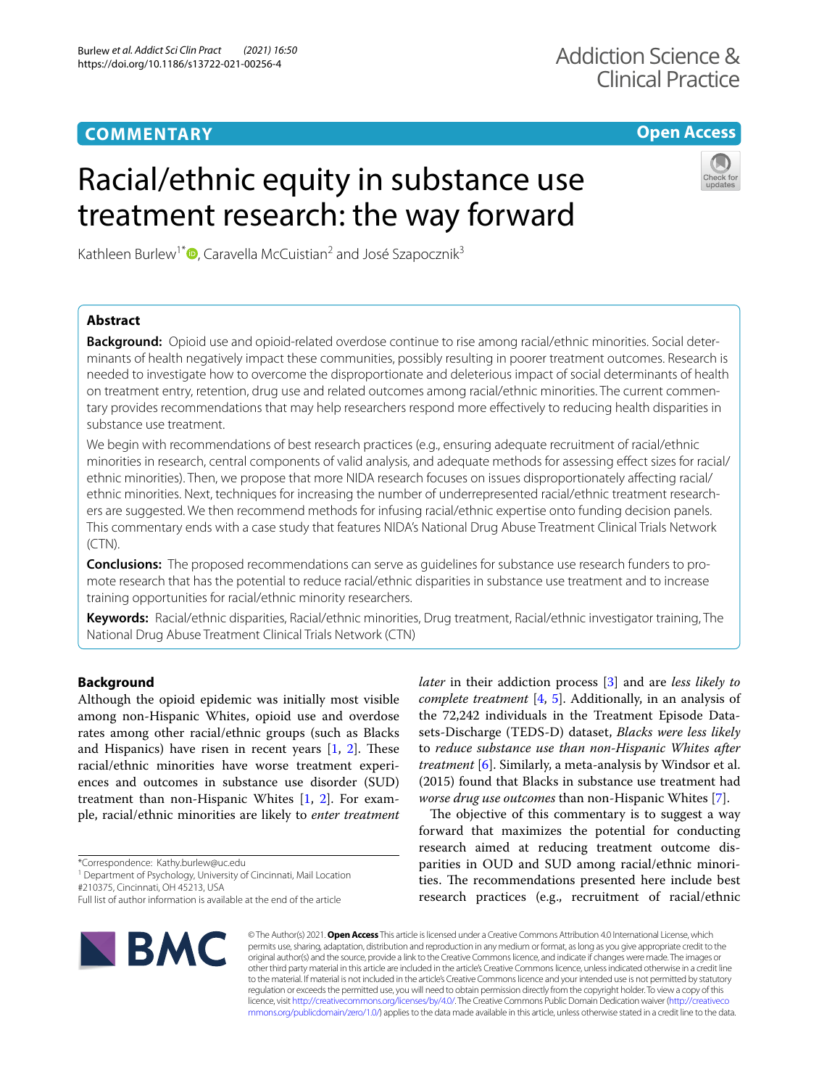# **COMMENTARY**

## **Open Access**

# Racial/ethnic equity in substance use treatment research: the way forward



Kathleen Burlew<sup>1\*</sup> $\bullet$ [,](http://orcid.org/0000-0001-8539-1298) Caravella McCuistian<sup>2</sup> and José Szapocznik<sup>3</sup>

## **Abstract**

**Background:** Opioid use and opioid-related overdose continue to rise among racial/ethnic minorities. Social determinants of health negatively impact these communities, possibly resulting in poorer treatment outcomes. Research is needed to investigate how to overcome the disproportionate and deleterious impact of social determinants of health on treatment entry, retention, drug use and related outcomes among racial/ethnic minorities. The current commentary provides recommendations that may help researchers respond more efectively to reducing health disparities in substance use treatment.

We begin with recommendations of best research practices (e.g., ensuring adequate recruitment of racial/ethnic minorities in research, central components of valid analysis, and adequate methods for assessing efect sizes for racial/ ethnic minorities). Then, we propose that more NIDA research focuses on issues disproportionately afecting racial/ ethnic minorities. Next, techniques for increasing the number of underrepresented racial/ethnic treatment researchers are suggested. We then recommend methods for infusing racial/ethnic expertise onto funding decision panels. This commentary ends with a case study that features NIDA's National Drug Abuse Treatment Clinical Trials Network (CTN).

**Conclusions:** The proposed recommendations can serve as guidelines for substance use research funders to promote research that has the potential to reduce racial/ethnic disparities in substance use treatment and to increase training opportunities for racial/ethnic minority researchers.

**Keywords:** Racial/ethnic disparities, Racial/ethnic minorities, Drug treatment, Racial/ethnic investigator training, The National Drug Abuse Treatment Clinical Trials Network (CTN)

## **Background**

Although the opioid epidemic was initially most visible among non-Hispanic Whites, opioid use and overdose rates among other racial/ethnic groups (such as Blacks and Hispanics) have risen in recent years  $[1, 2]$  $[1, 2]$  $[1, 2]$  $[1, 2]$ . These racial/ethnic minorities have worse treatment experiences and outcomes in substance use disorder (SUD) treatment than non-Hispanic Whites [\[1](#page-4-0), [2](#page-4-1)]. For example, racial/ethnic minorities are likely to *enter treatment* 

\*Correspondence: Kathy.burlew@uc.edu

<sup>1</sup> Department of Psychology, University of Cincinnati, Mail Location

#210375, Cincinnati, OH 45213, USA

Full list of author information is available at the end of the article



*later* in their addiction process [[3\]](#page-4-2) and are *less likely to complete treatment* [[4,](#page-4-3) [5](#page-4-4)]. Additionally, in an analysis of the 72,242 individuals in the Treatment Episode Datasets-Discharge (TEDS-D) dataset, *Blacks were less likely* to *reduce substance use than non-Hispanic Whites after treatment* [[6\]](#page-4-5). Similarly, a meta-analysis by Windsor et al. (2015) found that Blacks in substance use treatment had *worse drug use outcomes* than non-Hispanic Whites [[7\]](#page-4-6).

The objective of this commentary is to suggest a way forward that maximizes the potential for conducting research aimed at reducing treatment outcome disparities in OUD and SUD among racial/ethnic minorities. The recommendations presented here include best research practices (e.g., recruitment of racial/ethnic

© The Author(s) 2021. **Open Access** This article is licensed under a Creative Commons Attribution 4.0 International License, which permits use, sharing, adaptation, distribution and reproduction in any medium or format, as long as you give appropriate credit to the original author(s) and the source, provide a link to the Creative Commons licence, and indicate if changes were made. The images or other third party material in this article are included in the article's Creative Commons licence, unless indicated otherwise in a credit line to the material. If material is not included in the article's Creative Commons licence and your intended use is not permitted by statutory regulation or exceeds the permitted use, you will need to obtain permission directly from the copyright holder. To view a copy of this licence, visit [http://creativecommons.org/licenses/by/4.0/.](http://creativecommons.org/licenses/by/4.0/) The Creative Commons Public Domain Dedication waiver ([http://creativeco](http://creativecommons.org/publicdomain/zero/1.0/) [mmons.org/publicdomain/zero/1.0/](http://creativecommons.org/publicdomain/zero/1.0/)) applies to the data made available in this article, unless otherwise stated in a credit line to the data.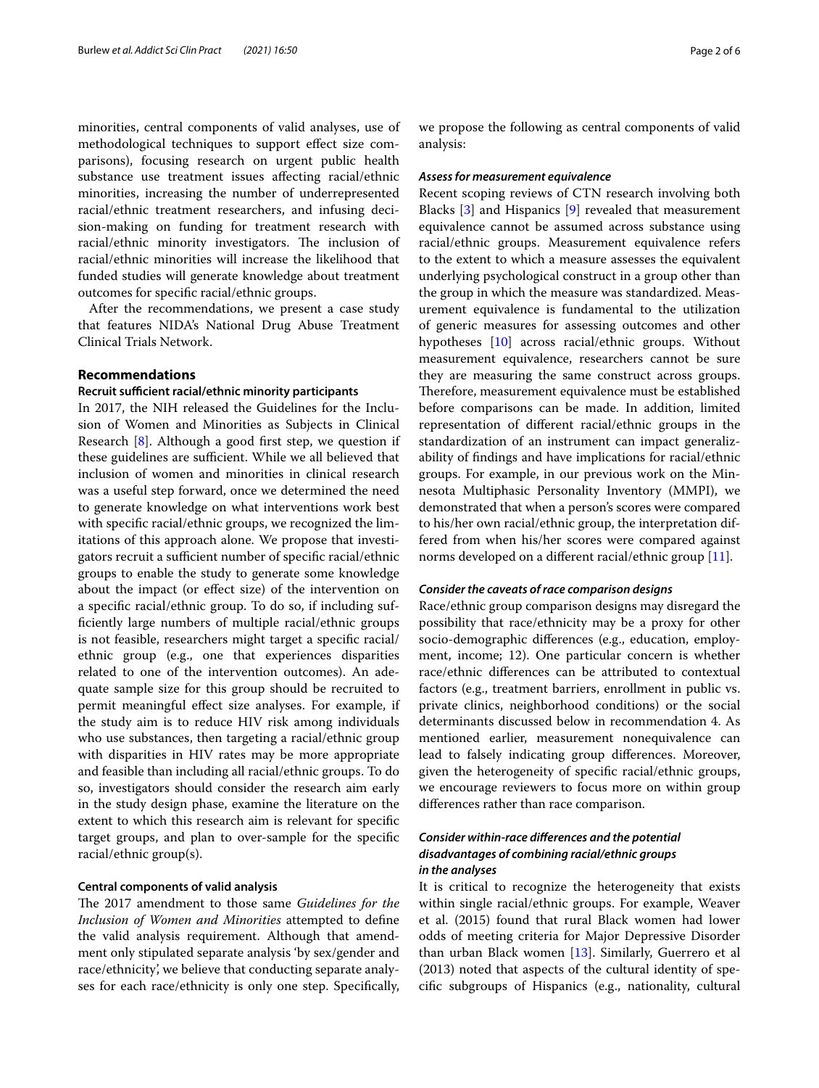minorities, central components of valid analyses, use of methodological techniques to support efect size comparisons), focusing research on urgent public health substance use treatment issues afecting racial/ethnic minorities, increasing the number of underrepresented racial/ethnic treatment researchers, and infusing decision-making on funding for treatment research with racial/ethnic minority investigators. The inclusion of racial/ethnic minorities will increase the likelihood that funded studies will generate knowledge about treatment outcomes for specifc racial/ethnic groups.

After the recommendations, we present a case study that features NIDA's National Drug Abuse Treatment Clinical Trials Network.

## **Recommendations**

## **Recruit sufficient racial/ethnic minority participants**

In 2017, the NIH released the Guidelines for the Inclusion of Women and Minorities as Subjects in Clinical Research [\[8](#page-4-7)]. Although a good frst step, we question if these guidelines are sufficient. While we all believed that inclusion of women and minorities in clinical research was a useful step forward, once we determined the need to generate knowledge on what interventions work best with specifc racial/ethnic groups, we recognized the limitations of this approach alone. We propose that investigators recruit a sufficient number of specific racial/ethnic groups to enable the study to generate some knowledge about the impact (or efect size) of the intervention on a specifc racial/ethnic group. To do so, if including suffciently large numbers of multiple racial/ethnic groups is not feasible, researchers might target a specifc racial/ ethnic group (e.g., one that experiences disparities related to one of the intervention outcomes). An adequate sample size for this group should be recruited to permit meaningful effect size analyses. For example, if the study aim is to reduce HIV risk among individuals who use substances, then targeting a racial/ethnic group with disparities in HIV rates may be more appropriate and feasible than including all racial/ethnic groups. To do so, investigators should consider the research aim early in the study design phase, examine the literature on the extent to which this research aim is relevant for specifc target groups, and plan to over-sample for the specifc racial/ethnic group(s).

## **Central components of valid analysis**

The 2017 amendment to those same *Guidelines for the Inclusion of Women and Minorities* attempted to defne the valid analysis requirement. Although that amendment only stipulated separate analysis 'by sex/gender and race/ethnicity', we believe that conducting separate analyses for each race/ethnicity is only one step. Specifcally, we propose the following as central components of valid analysis:

## *Assess for measurement equivalence*

Recent scoping reviews of CTN research involving both Blacks [\[3](#page-4-2)] and Hispanics [\[9](#page-4-8)] revealed that measurement equivalence cannot be assumed across substance using racial/ethnic groups. Measurement equivalence refers to the extent to which a measure assesses the equivalent underlying psychological construct in a group other than the group in which the measure was standardized. Measurement equivalence is fundamental to the utilization of generic measures for assessing outcomes and other hypotheses [[10](#page-4-9)] across racial/ethnic groups. Without measurement equivalence, researchers cannot be sure they are measuring the same construct across groups. Therefore, measurement equivalence must be established before comparisons can be made. In addition, limited representation of diferent racial/ethnic groups in the standardization of an instrument can impact generalizability of fndings and have implications for racial/ethnic groups. For example, in our previous work on the Minnesota Multiphasic Personality Inventory (MMPI), we demonstrated that when a person's scores were compared to his/her own racial/ethnic group, the interpretation differed from when his/her scores were compared against norms developed on a different racial/ethnic group [\[11\]](#page-4-10).

## *Consider the caveats of race comparison designs*

Race/ethnic group comparison designs may disregard the possibility that race/ethnicity may be a proxy for other socio-demographic diferences (e.g., education, employment, income; 12). One particular concern is whether race/ethnic diferences can be attributed to contextual factors (e.g., treatment barriers, enrollment in public vs. private clinics, neighborhood conditions) or the social determinants discussed below in recommendation 4. As mentioned earlier, measurement nonequivalence can lead to falsely indicating group diferences. Moreover, given the heterogeneity of specifc racial/ethnic groups, we encourage reviewers to focus more on within group diferences rather than race comparison.

## *Consider within‑race diferences and the potential disadvantages of combining racial/ethnic groups in the analyses*

It is critical to recognize the heterogeneity that exists within single racial/ethnic groups. For example, Weaver et al. (2015) found that rural Black women had lower odds of meeting criteria for Major Depressive Disorder than urban Black women [[13\]](#page-4-11). Similarly, Guerrero et al (2013) noted that aspects of the cultural identity of specifc subgroups of Hispanics (e.g., nationality, cultural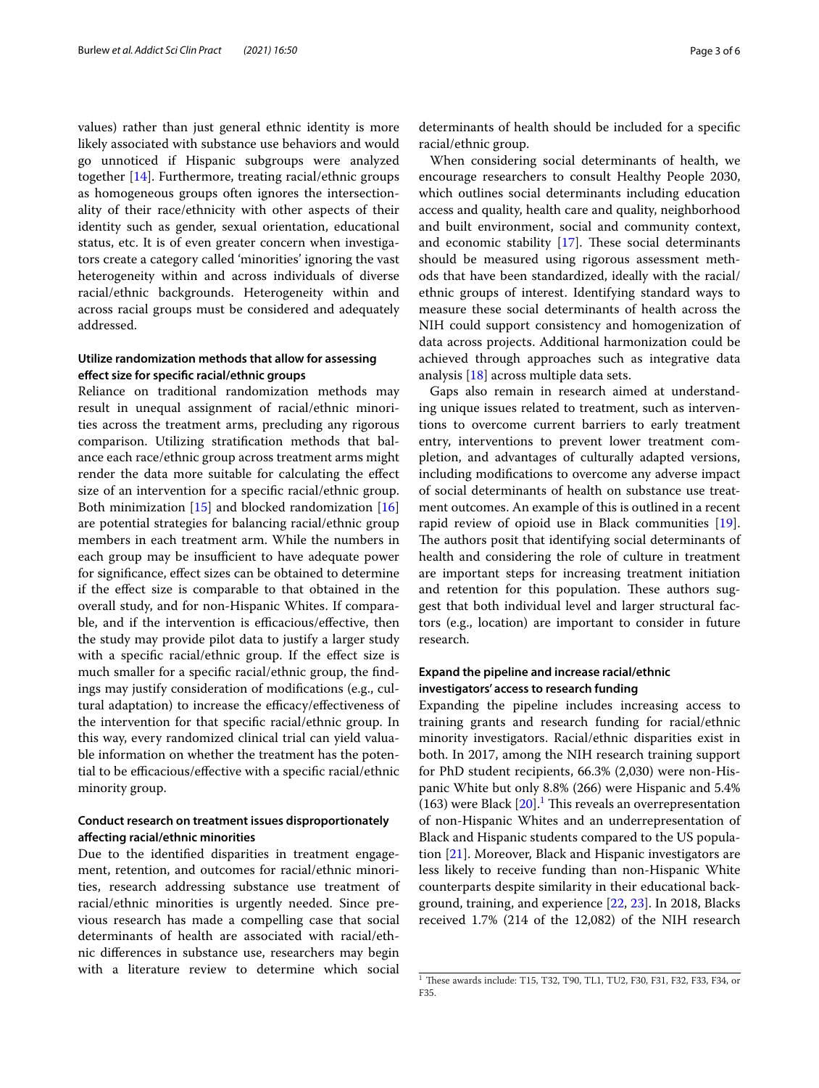values) rather than just general ethnic identity is more likely associated with substance use behaviors and would go unnoticed if Hispanic subgroups were analyzed together [\[14](#page-4-12)]. Furthermore, treating racial/ethnic groups as homogeneous groups often ignores the intersectionality of their race/ethnicity with other aspects of their identity such as gender, sexual orientation, educational status, etc. It is of even greater concern when investigators create a category called 'minorities' ignoring the vast heterogeneity within and across individuals of diverse racial/ethnic backgrounds. Heterogeneity within and across racial groups must be considered and adequately addressed.

## **Utilize randomization methods that allow for assessing efect size for specifc racial/ethnic groups**

Reliance on traditional randomization methods may result in unequal assignment of racial/ethnic minorities across the treatment arms, precluding any rigorous comparison. Utilizing stratifcation methods that balance each race/ethnic group across treatment arms might render the data more suitable for calculating the efect size of an intervention for a specifc racial/ethnic group. Both minimization [\[15](#page-4-13)] and blocked randomization [[16](#page-4-14)] are potential strategies for balancing racial/ethnic group members in each treatment arm. While the numbers in each group may be insufficient to have adequate power for signifcance, efect sizes can be obtained to determine if the efect size is comparable to that obtained in the overall study, and for non-Hispanic Whites. If comparable, and if the intervention is efficacious/effective, then the study may provide pilot data to justify a larger study with a specific racial/ethnic group. If the effect size is much smaller for a specifc racial/ethnic group, the fndings may justify consideration of modifcations (e.g., cultural adaptation) to increase the efficacy/effectiveness of the intervention for that specifc racial/ethnic group. In this way, every randomized clinical trial can yield valuable information on whether the treatment has the potential to be efficacious/effective with a specific racial/ethnic minority group.

## **Conduct research on treatment issues disproportionately afecting racial/ethnic minorities**

Due to the identifed disparities in treatment engagement, retention, and outcomes for racial/ethnic minorities, research addressing substance use treatment of racial/ethnic minorities is urgently needed. Since previous research has made a compelling case that social determinants of health are associated with racial/ethnic diferences in substance use, researchers may begin with a literature review to determine which social determinants of health should be included for a specifc racial/ethnic group.

When considering social determinants of health, we encourage researchers to consult Healthy People 2030, which outlines social determinants including education access and quality, health care and quality, neighborhood and built environment, social and community context, and economic stability  $[17]$  $[17]$ . These social determinants should be measured using rigorous assessment methods that have been standardized, ideally with the racial/ ethnic groups of interest. Identifying standard ways to measure these social determinants of health across the NIH could support consistency and homogenization of data across projects. Additional harmonization could be achieved through approaches such as integrative data analysis [[18\]](#page-4-16) across multiple data sets.

Gaps also remain in research aimed at understanding unique issues related to treatment, such as interventions to overcome current barriers to early treatment entry, interventions to prevent lower treatment completion, and advantages of culturally adapted versions, including modifcations to overcome any adverse impact of social determinants of health on substance use treatment outcomes. An example of this is outlined in a recent rapid review of opioid use in Black communities [\[19](#page-4-17)]. The authors posit that identifying social determinants of health and considering the role of culture in treatment are important steps for increasing treatment initiation and retention for this population. These authors suggest that both individual level and larger structural factors (e.g., location) are important to consider in future research.

## **Expand the pipeline and increase racial/ethnic investigators' access to research funding**

Expanding the pipeline includes increasing access to training grants and research funding for racial/ethnic minority investigators. Racial/ethnic disparities exist in both. In 2017, among the NIH research training support for PhD student recipients, 66.3% (2,030) were non-Hispanic White but only 8.8% (266) were Hispanic and 5.4%  $(163)$  $(163)$  $(163)$  were Black  $[20]$  $[20]$  $[20]$ .<sup>1</sup> This reveals an overrepresentation of non-Hispanic Whites and an underrepresentation of Black and Hispanic students compared to the US population [\[21\]](#page-4-19). Moreover, Black and Hispanic investigators are less likely to receive funding than non-Hispanic White counterparts despite similarity in their educational background, training, and experience [\[22](#page-4-20), [23\]](#page-4-21). In 2018, Blacks received 1.7% (214 of the 12,082) of the NIH research

<span id="page-2-0"></span> $1$  These awards include: T15, T32, T90, TL1, TU2, F30, F31, F32, F33, F34, or F35.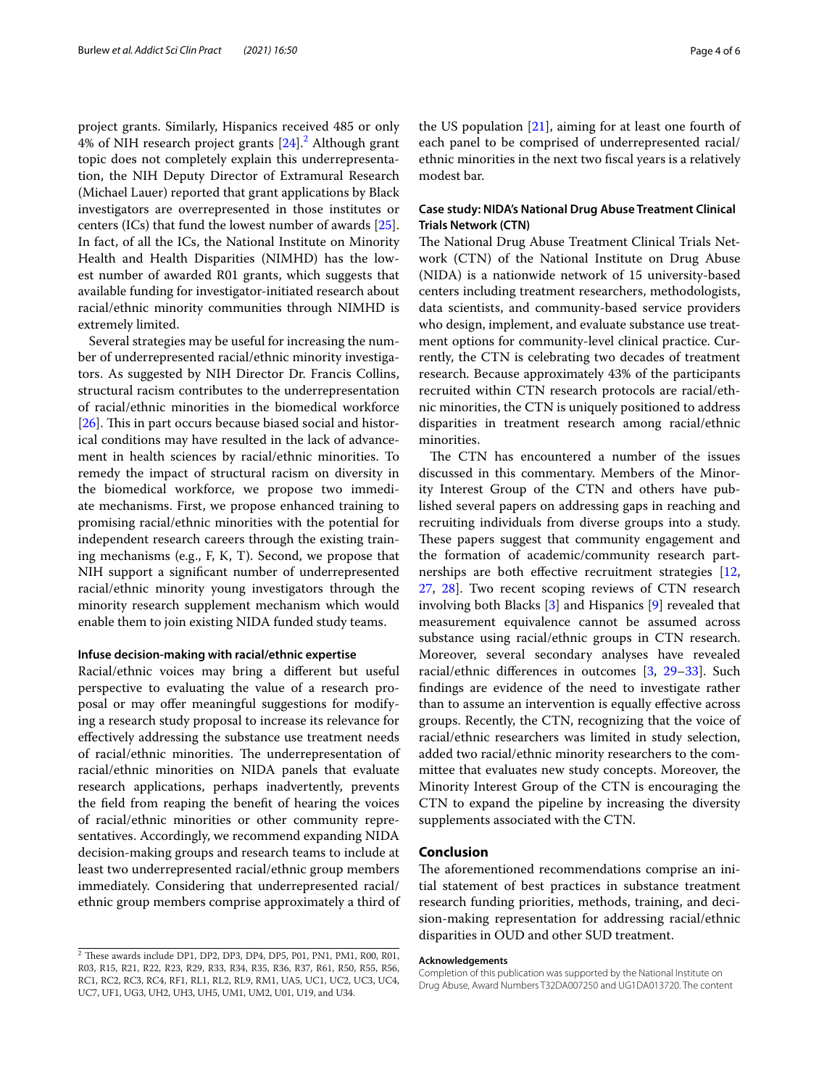project grants. Similarly, Hispanics received 485 or only 4% of NIH research project grants [\[24](#page-4-22)].<sup>[2](#page-3-0)</sup> Although grant topic does not completely explain this underrepresentation, the NIH Deputy Director of Extramural Research (Michael Lauer) reported that grant applications by Black investigators are overrepresented in those institutes or centers (ICs) that fund the lowest number of awards [\[25](#page-4-23)]. In fact, of all the ICs, the National Institute on Minority Health and Health Disparities (NIMHD) has the lowest number of awarded R01 grants, which suggests that available funding for investigator-initiated research about racial/ethnic minority communities through NIMHD is extremely limited.

Several strategies may be useful for increasing the number of underrepresented racial/ethnic minority investigators. As suggested by NIH Director Dr. Francis Collins, structural racism contributes to the underrepresentation of racial/ethnic minorities in the biomedical workforce  $[26]$  $[26]$ . This in part occurs because biased social and historical conditions may have resulted in the lack of advancement in health sciences by racial/ethnic minorities. To remedy the impact of structural racism on diversity in the biomedical workforce, we propose two immediate mechanisms. First, we propose enhanced training to promising racial/ethnic minorities with the potential for independent research careers through the existing training mechanisms (e.g., F, K, T). Second, we propose that NIH support a signifcant number of underrepresented racial/ethnic minority young investigators through the minority research supplement mechanism which would enable them to join existing NIDA funded study teams.

#### **Infuse decision‑making with racial/ethnic expertise**

Racial/ethnic voices may bring a diferent but useful perspective to evaluating the value of a research proposal or may offer meaningful suggestions for modifying a research study proposal to increase its relevance for efectively addressing the substance use treatment needs of racial/ethnic minorities. The underrepresentation of racial/ethnic minorities on NIDA panels that evaluate research applications, perhaps inadvertently, prevents the feld from reaping the beneft of hearing the voices of racial/ethnic minorities or other community representatives. Accordingly, we recommend expanding NIDA decision-making groups and research teams to include at least two underrepresented racial/ethnic group members immediately. Considering that underrepresented racial/ ethnic group members comprise approximately a third of the US population [[21\]](#page-4-19), aiming for at least one fourth of each panel to be comprised of underrepresented racial/ ethnic minorities in the next two fscal years is a relatively modest bar.

## **Case study: NIDA's National Drug Abuse Treatment Clinical Trials Network (CTN)**

The National Drug Abuse Treatment Clinical Trials Network (CTN) of the National Institute on Drug Abuse (NIDA) is a nationwide network of 15 university-based centers including treatment researchers, methodologists, data scientists, and community-based service providers who design, implement, and evaluate substance use treatment options for community-level clinical practice. Currently, the CTN is celebrating two decades of treatment research. Because approximately 43% of the participants recruited within CTN research protocols are racial/ethnic minorities, the CTN is uniquely positioned to address disparities in treatment research among racial/ethnic minorities.

The CTN has encountered a number of the issues discussed in this commentary. Members of the Minority Interest Group of the CTN and others have published several papers on addressing gaps in reaching and recruiting individuals from diverse groups into a study. These papers suggest that community engagement and the formation of academic/community research part-nerships are both effective recruitment strategies [[12](#page-4-25), [27,](#page-4-26) [28](#page-4-27)]. Two recent scoping reviews of CTN research involving both Blacks [\[3](#page-4-2)] and Hispanics [\[9](#page-4-8)] revealed that measurement equivalence cannot be assumed across substance using racial/ethnic groups in CTN research. Moreover, several secondary analyses have revealed racial/ethnic diferences in outcomes [[3,](#page-4-2) [29–](#page-4-28)[33](#page-5-0)]. Such fndings are evidence of the need to investigate rather than to assume an intervention is equally effective across groups. Recently, the CTN, recognizing that the voice of racial/ethnic researchers was limited in study selection, added two racial/ethnic minority researchers to the committee that evaluates new study concepts. Moreover, the Minority Interest Group of the CTN is encouraging the CTN to expand the pipeline by increasing the diversity supplements associated with the CTN.

## **Conclusion**

The aforementioned recommendations comprise an initial statement of best practices in substance treatment research funding priorities, methods, training, and decision-making representation for addressing racial/ethnic disparities in OUD and other SUD treatment.

#### **Acknowledgements**

<span id="page-3-0"></span> $2$  These awards include DP1, DP2, DP3, DP4, DP5, P01, PN1, PM1, R00, R01, R03, R15, R21, R22, R23, R29, R33, R34, R35, R36, R37, R61, R50, R55, R56, RC1, RC2, RC3, RC4, RF1, RL1, RL2, RL9, RM1, UA5, UC1, UC2, UC3, UC4, UC7, UF1, UG3, UH2, UH3, UH5, UM1, UM2, U01, U19, and U34.

Completion of this publication was supported by the National Institute on Drug Abuse, Award Numbers T32DA007250 and UG1DA013720. The content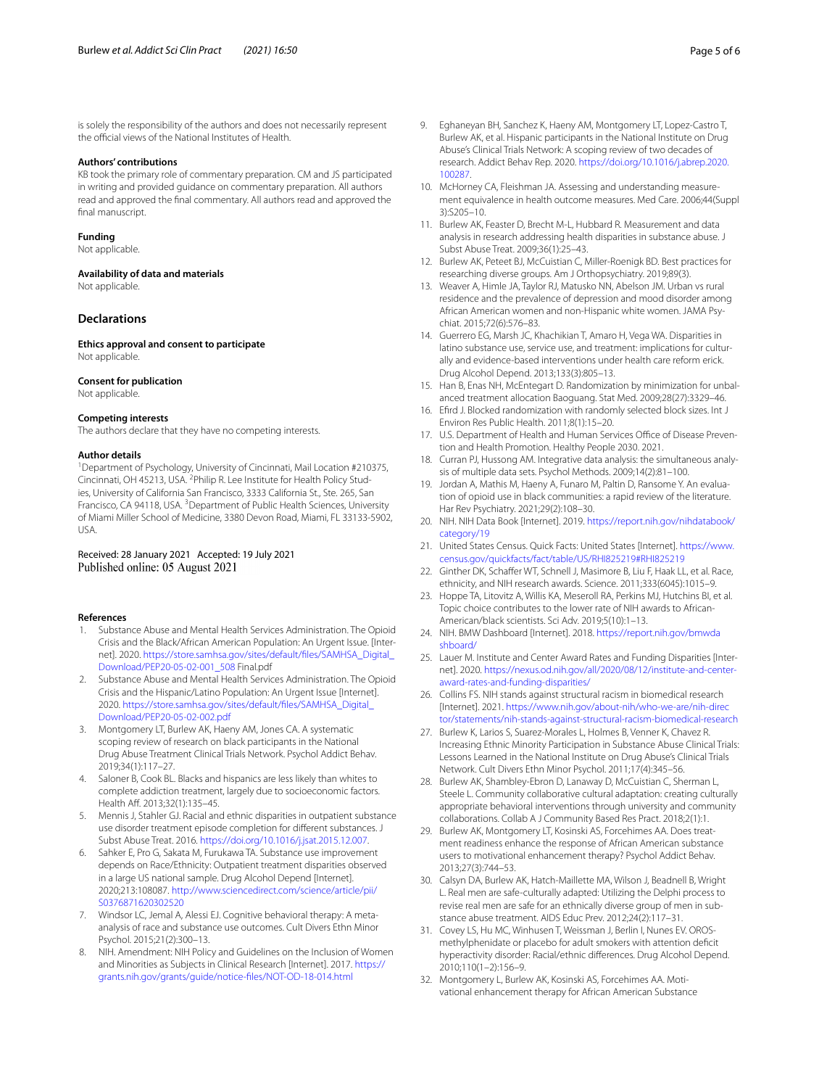is solely the responsibility of the authors and does not necessarily represent the official views of the National Institutes of Health.

#### **Authors' contributions**

KB took the primary role of commentary preparation. CM and JS participated in writing and provided guidance on commentary preparation. All authors read and approved the fnal commentary. All authors read and approved the final manuscript.

#### **Funding**

Not applicable.

**Availability of data and materials**

Not applicable.

#### **Declarations**

**Ethics approval and consent to participate** Not applicable.

#### **Consent for publication**

Not applicable.

## **Competing interests**

The authors declare that they have no competing interests.

#### **Author details**

<sup>1</sup> Department of Psychology, University of Cincinnati, Mail Location #210375, Cincinnati, OH 45213, USA. <sup>2</sup> Philip R. Lee Institute for Health Policy Studies, University of California San Francisco, 3333 California St., Ste. 265, San Francisco, CA 94118, USA. <sup>3</sup> Department of Public Health Sciences, University of Miami Miller School of Medicine, 3380 Devon Road, Miami, FL 33133-5902, USA.

## Received: 28 January 2021 Accepted: 19 July 2021 Published online: 05 August 2021

#### **References**

- <span id="page-4-0"></span>1. Substance Abuse and Mental Health Services Administration. The Opioid Crisis and the Black/African American Population: An Urgent Issue. [Internet]. 2020. [https://store.samhsa.gov/sites/default/fles/SAMHSA\\_Digital\\_](https://store.samhsa.gov/sites/default/files/SAMHSA_Digital_Download/PEP20-05-02-001_508) [Download/PEP20-05-02-001\\_508](https://store.samhsa.gov/sites/default/files/SAMHSA_Digital_Download/PEP20-05-02-001_508) Final.pdf
- <span id="page-4-1"></span>2. Substance Abuse and Mental Health Services Administration. The Opioid Crisis and the Hispanic/Latino Population: An Urgent Issue [Internet]. 2020. [https://store.samhsa.gov/sites/default/fles/SAMHSA\\_Digital\\_](https://store.samhsa.gov/sites/default/files/SAMHSA_Digital_Download/PEP20-05-02-002.pdf) [Download/PEP20-05-02-002.pdf](https://store.samhsa.gov/sites/default/files/SAMHSA_Digital_Download/PEP20-05-02-002.pdf)
- <span id="page-4-2"></span>3. Montgomery LT, Burlew AK, Haeny AM, Jones CA. A systematic scoping review of research on black participants in the National Drug Abuse Treatment Clinical Trials Network. Psychol Addict Behav. 2019;34(1):117–27.
- <span id="page-4-3"></span>Saloner B, Cook BL. Blacks and hispanics are less likely than whites to complete addiction treatment, largely due to socioeconomic factors. Health Aff. 2013;32(1):135-45.
- <span id="page-4-4"></span>5. Mennis J, Stahler GJ. Racial and ethnic disparities in outpatient substance use disorder treatment episode completion for diferent substances. J Subst Abuse Treat. 2016. <https://doi.org/10.1016/j.jsat.2015.12.007>.
- <span id="page-4-5"></span>6. Sahker E, Pro G, Sakata M, Furukawa TA. Substance use improvement depends on Race/Ethnicity: Outpatient treatment disparities observed in a large US national sample. Drug Alcohol Depend [Internet]. 2020;213:108087. [http://www.sciencedirect.com/science/article/pii/](http://www.sciencedirect.com/science/article/pii/S0376871620302520) [S0376871620302520](http://www.sciencedirect.com/science/article/pii/S0376871620302520)
- <span id="page-4-6"></span>7. Windsor LC, Jemal A, Alessi EJ. Cognitive behavioral therapy: A metaanalysis of race and substance use outcomes. Cult Divers Ethn Minor Psychol. 2015;21(2):300–13.
- <span id="page-4-7"></span>8. NIH. Amendment: NIH Policy and Guidelines on the Inclusion of Women and Minorities as Subjects in Clinical Research [Internet]. 2017. [https://](https://grants.nih.gov/grants/guide/notice-files/NOT-OD-18-014.html) [grants.nih.gov/grants/guide/notice-fles/NOT-OD-18-014.html](https://grants.nih.gov/grants/guide/notice-files/NOT-OD-18-014.html)
- <span id="page-4-8"></span>9. Eghaneyan BH, Sanchez K, Haeny AM, Montgomery LT, Lopez-Castro T, Burlew AK, et al. Hispanic participants in the National Institute on Drug Abuse's Clinical Trials Network: A scoping review of two decades of research. Addict Behav Rep. 2020. [https://doi.org/10.1016/j.abrep.2020.](https://doi.org/10.1016/j.abrep.2020.100287) [100287.](https://doi.org/10.1016/j.abrep.2020.100287)
- <span id="page-4-9"></span>10. McHorney CA, Fleishman JA. Assessing and understanding measurement equivalence in health outcome measures. Med Care. 2006;44(Suppl 3):S205–10.
- <span id="page-4-10"></span>11. Burlew AK, Feaster D, Brecht M-L, Hubbard R. Measurement and data analysis in research addressing health disparities in substance abuse. J Subst Abuse Treat. 2009;36(1):25–43.
- <span id="page-4-25"></span>12. Burlew AK, Peteet BJ, McCuistian C, Miller-Roenigk BD. Best practices for researching diverse groups. Am J Orthopsychiatry. 2019;89(3).
- <span id="page-4-11"></span>13. Weaver A, Himle JA, Taylor RJ, Matusko NN, Abelson JM. Urban vs rural residence and the prevalence of depression and mood disorder among African American women and non-Hispanic white women. JAMA Psychiat. 2015;72(6):576–83.
- <span id="page-4-12"></span>14. Guerrero EG, Marsh JC, Khachikian T, Amaro H, Vega WA. Disparities in latino substance use, service use, and treatment: implications for culturally and evidence-based interventions under health care reform erick. Drug Alcohol Depend. 2013;133(3):805–13.
- <span id="page-4-13"></span>15. Han B, Enas NH, McEntegart D. Randomization by minimization for unbalanced treatment allocation Baoguang. Stat Med. 2009;28(27):3329–46.
- <span id="page-4-14"></span>16. Efrd J. Blocked randomization with randomly selected block sizes. Int J Environ Res Public Health. 2011;8(1):15–20.
- <span id="page-4-15"></span>17. U.S. Department of Health and Human Services Office of Disease Prevention and Health Promotion. Healthy People 2030. 2021.
- <span id="page-4-16"></span>18. Curran PJ, Hussong AM. Integrative data analysis: the simultaneous analysis of multiple data sets. Psychol Methods. 2009;14(2):81–100.
- <span id="page-4-17"></span>19. Jordan A, Mathis M, Haeny A, Funaro M, Paltin D, Ransome Y. An evaluation of opioid use in black communities: a rapid review of the literature. Har Rev Psychiatry. 2021;29(2):108–30.
- <span id="page-4-18"></span>20. NIH. NIH Data Book [Internet]. 2019. [https://report.nih.gov/nihdatabook/](https://report.nih.gov/nihdatabook/category/19) [category/19](https://report.nih.gov/nihdatabook/category/19)
- <span id="page-4-19"></span>21. United States Census. Quick Facts: United States [Internet]. [https://www.](https://www.census.gov/quickfacts/fact/table/US/RHI825219#RHI825219) [census.gov/quickfacts/fact/table/US/RHI825219#RHI825219](https://www.census.gov/quickfacts/fact/table/US/RHI825219#RHI825219)
- <span id="page-4-20"></span>22. Ginther DK, Schaffer WT, Schnell J, Masimore B, Liu F, Haak LL, et al. Race, ethnicity, and NIH research awards. Science. 2011;333(6045):1015–9.
- <span id="page-4-21"></span>23. Hoppe TA, Litovitz A, Willis KA, Meseroll RA, Perkins MJ, Hutchins BI, et al. Topic choice contributes to the lower rate of NIH awards to African-American/black scientists. Sci Adv. 2019;5(10):1–13.
- <span id="page-4-22"></span>24. NIH. BMW Dashboard [Internet]. 2018. [https://report.nih.gov/bmwda](https://report.nih.gov/bmwdashboard/) [shboard/](https://report.nih.gov/bmwdashboard/)
- <span id="page-4-23"></span>25. Lauer M. Institute and Center Award Rates and Funding Disparities [Internet]. 2020. [https://nexus.od.nih.gov/all/2020/08/12/institute-and-center](https://nexus.od.nih.gov/all/2020/08/12/institute-and-center-award-rates-and-funding-disparities/)[award-rates-and-funding-disparities/](https://nexus.od.nih.gov/all/2020/08/12/institute-and-center-award-rates-and-funding-disparities/)
- <span id="page-4-24"></span>26. Collins FS. NIH stands against structural racism in biomedical research [Internet]. 2021. [https://www.nih.gov/about-nih/who-we-are/nih-direc](https://www.nih.gov/about-nih/who-we-are/nih-director/statements/nih-stands-against-structural-racism-biomedical-research) [tor/statements/nih-stands-against-structural-racism-biomedical-research](https://www.nih.gov/about-nih/who-we-are/nih-director/statements/nih-stands-against-structural-racism-biomedical-research)
- <span id="page-4-26"></span>27. Burlew K, Larios S, Suarez-Morales L, Holmes B, Venner K, Chavez R. Increasing Ethnic Minority Participation in Substance Abuse Clinical Trials: Lessons Learned in the National Institute on Drug Abuse's Clinical Trials Network. Cult Divers Ethn Minor Psychol. 2011;17(4):345–56.
- <span id="page-4-27"></span>28. Burlew AK, Shambley-Ebron D, Lanaway D, McCuistian C, Sherman L, Steele L. Community collaborative cultural adaptation: creating culturally appropriate behavioral interventions through university and community collaborations. Collab A J Community Based Res Pract. 2018;2(1):1.
- <span id="page-4-28"></span>29. Burlew AK, Montgomery LT, Kosinski AS, Forcehimes AA. Does treatment readiness enhance the response of African American substance users to motivational enhancement therapy? Psychol Addict Behav. 2013;27(3):744–53.
- 30. Calsyn DA, Burlew AK, Hatch-Maillette MA, Wilson J, Beadnell B, Wright L. Real men are safe-culturally adapted: Utilizing the Delphi process to revise real men are safe for an ethnically diverse group of men in substance abuse treatment. AIDS Educ Prev. 2012;24(2):117–31.
- 31. Covey LS, Hu MC, Winhusen T, Weissman J, Berlin I, Nunes EV. OROSmethylphenidate or placebo for adult smokers with attention defcit hyperactivity disorder: Racial/ethnic diferences. Drug Alcohol Depend. 2010;110(1–2):156–9.
- 32. Montgomery L, Burlew AK, Kosinski AS, Forcehimes AA. Motivational enhancement therapy for African American Substance